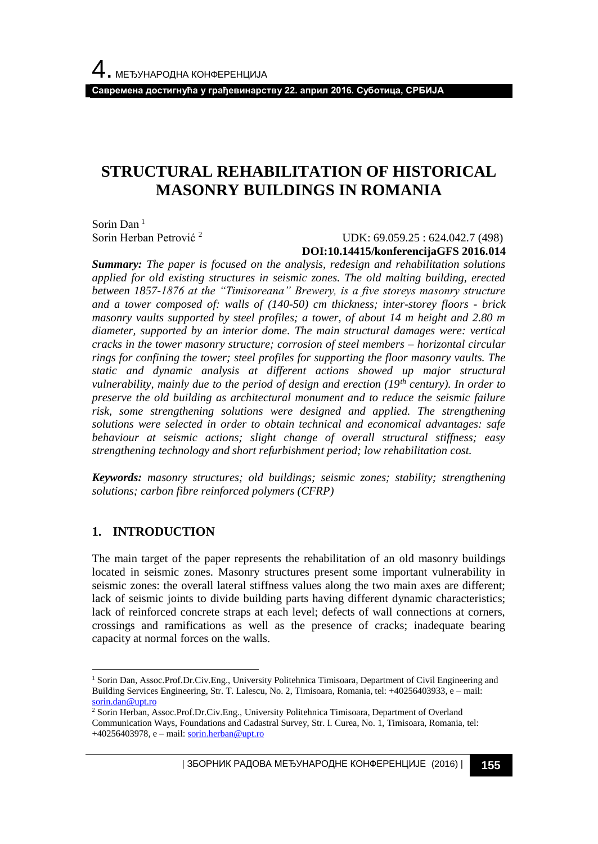**Савремена достигнућа у грађевинарству 22. април 2016. Суботица, СРБИЈА**

# **STRUCTURAL REHABILITATION OF HISTORICAL MASONRY BUILDINGS IN ROMANIA**

Sorin Dan<sup>1</sup> Sorin Herban Petrović <sup>2</sup>

## UDK: 69.059.25 : 624.042.7 (498) **DOI:10.14415/konferencijaGFS 2016.014**

*Summary: The paper is focused on the analysis, redesign and rehabilitation solutions applied for old existing structures in seismic zones. The old malting building, erected between 1857-1876 at the "Timisoreana" Brewery, is a five storeys masonry structure and a tower composed of: walls of (140-50) cm thickness; inter-storey floors - brick masonry vaults supported by steel profiles; a tower, of about 14 m height and 2.80 m diameter, supported by an interior dome. The main structural damages were: vertical cracks in the tower masonry structure; corrosion of steel members – horizontal circular rings for confining the tower; steel profiles for supporting the floor masonry vaults. The static and dynamic analysis at different actions showed up major structural vulnerability, mainly due to the period of design and erection (19th century). In order to preserve the old building as architectural monument and to reduce the seismic failure risk, some strengthening solutions were designed and applied. The strengthening solutions were selected in order to obtain technical and economical advantages: safe behaviour at seismic actions; slight change of overall structural stiffness; easy strengthening technology and short refurbishment period; low rehabilitation cost.*

*Keywords: masonry structures; old buildings; seismic zones; stability; strengthening solutions; carbon fibre reinforced polymers (CFRP)*

# **1. INTRODUCTION**

l

The main target of the paper represents the rehabilitation of an old masonry buildings located in seismic zones. Masonry structures present some important vulnerability in seismic zones: the overall lateral stiffness values along the two main axes are different; lack of seismic joints to divide building parts having different dynamic characteristics; lack of reinforced concrete straps at each level; defects of wall connections at corners, crossings and ramifications as well as the presence of cracks; inadequate bearing capacity at normal forces on the walls.

<sup>1</sup> Sorin Dan, Assoc.Prof.Dr.Civ.Eng., University Politehnica Timisoara, Department of Civil Engineering and Building Services Engineering, Str. T. Lalescu, No. 2, Timisoara, Romania, tel: +40256403933, e – mail: [sorin.dan@upt.ro](mailto:sorin.dan@upt.ro)

<sup>&</sup>lt;sup>2</sup> Sorin Herban, Assoc.Prof.Dr.Civ.Eng., University Politehnica Timisoara, Department of Overland Communication Ways, Foundations and Cadastral Survey, Str. I. Curea, No. 1, Timisoara, Romania, tel: +40256403978, e – mail: [sorin.herban@upt.ro](mailto:sorin.herban@upt.ro)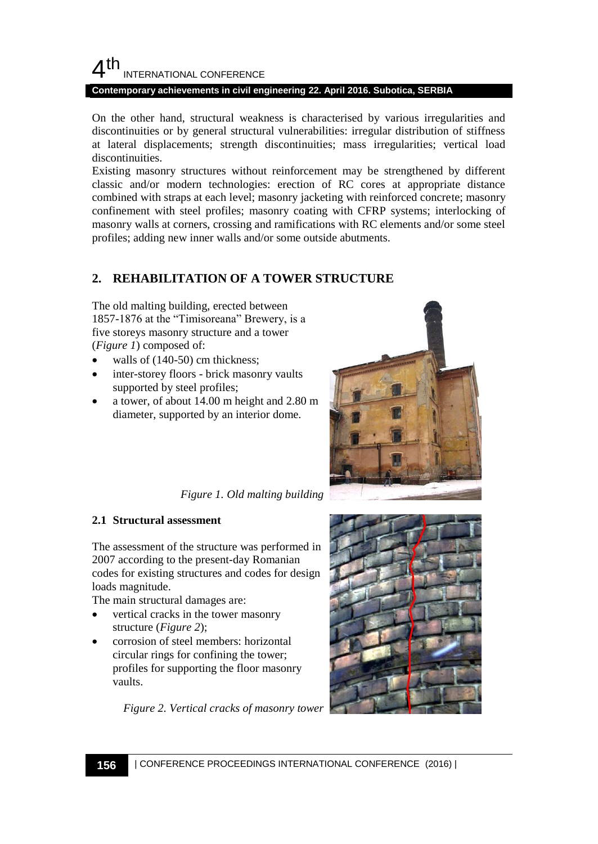

#### **Contemporary achievements in civil engineering 22. April 2016. Subotica, SERBIA**

On the other hand, structural weakness is characterised by various irregularities and discontinuities or by general structural vulnerabilities: irregular distribution of stiffness at lateral displacements; strength discontinuities; mass irregularities; vertical load discontinuities.

Existing masonry structures without reinforcement may be strengthened by different classic and/or modern technologies: erection of RC cores at appropriate distance combined with straps at each level; masonry jacketing with reinforced concrete; masonry confinement with steel profiles; masonry coating with CFRP systems; interlocking of masonry walls at corners, crossing and ramifications with RC elements and/or some steel profiles; adding new inner walls and/or some outside abutments.

## **2. REHABILITATION OF A TOWER STRUCTURE**

The old malting building, erected between 1857-1876 at the "Timisoreana" Brewery, is a five storeys masonry structure and a tower (*Figure 1*) composed of:

- walls of (140-50) cm thickness;
- inter-storey floors brick masonry vaults supported by steel profiles;
- a tower, of about 14.00 m height and 2.80 m diameter, supported by an interior dome.

*Figure 1. Old malting building*

#### **2.1 Structural assessment**

The assessment of the structure was performed in 2007 according to the present-day Romanian codes for existing structures and codes for design loads magnitude.

The main structural damages are:

- vertical cracks in the tower masonry structure (*Figure 2*);
- corrosion of steel members: horizontal circular rings for confining the tower; profiles for supporting the floor masonry vaults.

*Figure 2. Vertical cracks of masonry tower*



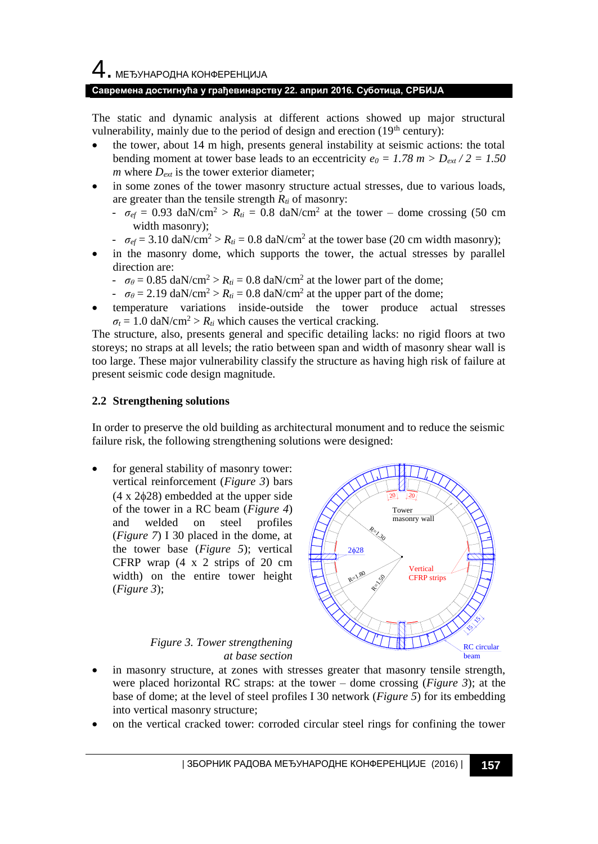#### **Савремена достигнућа у грађевинарству 22. април 2016. Суботица, СРБИЈА**

The static and dynamic analysis at different actions showed up major structural vulnerability, mainly due to the period of design and erection  $(19<sup>th</sup>$  century):

- the tower, about 14 m high, presents general instability at seismic actions: the total bending moment at tower base leads to an eccentricity  $e_0 = 1.78 \text{ m} > D_{ext}/2 = 1.50$  $m$  where  $D_{ext}$  is the tower exterior diameter;
- in some zones of the tower masonry structure actual stresses, due to various loads, are greater than the tensile strength  $R_t$  of masonry:
	- $\sigma_{ef} = 0.93 \text{ d}$ aN/cm<sup>2</sup> >  $R_{ti} = 0.8 \text{ d}$ aN/cm<sup>2</sup> at the tower dome crossing (50 cm width masonry);
	- $\sigma_{ef} = 3.10 \text{ daN/cm}^2 > R_{ti} = 0.8 \text{ daN/cm}^2$  at the tower base (20 cm width masonry);
- in the masonry dome, which supports the tower, the actual stresses by parallel direction are:
	- $\sigma_{\theta} = 0.85$  daN/cm<sup>2</sup> >  $R_{ti} = 0.8$  daN/cm<sup>2</sup> at the lower part of the dome;
	- $\sigma_{\theta} = 2.19 \text{ daN/cm}^2 > R_{ti} = 0.8 \text{ daN/cm}^2$  at the upper part of the dome;
- temperature variations inside-outside the tower produce actual stresses  $\sigma_t = 1.0$  daN/cm<sup>2</sup> >  $R_{ti}$  which causes the vertical cracking.

The structure, also, presents general and specific detailing lacks: no rigid floors at two storeys; no straps at all levels; the ratio between span and width of masonry shear wall is too large. These major vulnerability classify the structure as having high risk of failure at present seismic code design magnitude.

### **2.2 Strengthening solutions**

In order to preserve the old building as architectural monument and to reduce the seismic failure risk, the following strengthening solutions were designed:

 for general stability of masonry tower: vertical reinforcement (*Figure 3*) bars  $(4 \times 2\phi 28)$  embedded at the upper side of the tower in a RC beam (*Figure 4*) and welded on steel profiles (*Figure 7*) I 30 placed in the dome, at the tower base (*Figure 5*); vertical CFRP wrap (4 x 2 strips of 20 cm width) on the entire tower height (*Figure 3*);



### *Figure 3. Tower strengthening at base section*

- in masonry structure, at zones with stresses greater that masonry tensile strength, were placed horizontal RC straps: at the tower – dome crossing (*Figure 3*); at the base of dome; at the level of steel profiles I 30 network (*Figure 5*) for its embedding into vertical masonry structure;
- on the vertical cracked tower: corroded circular steel rings for confining the tower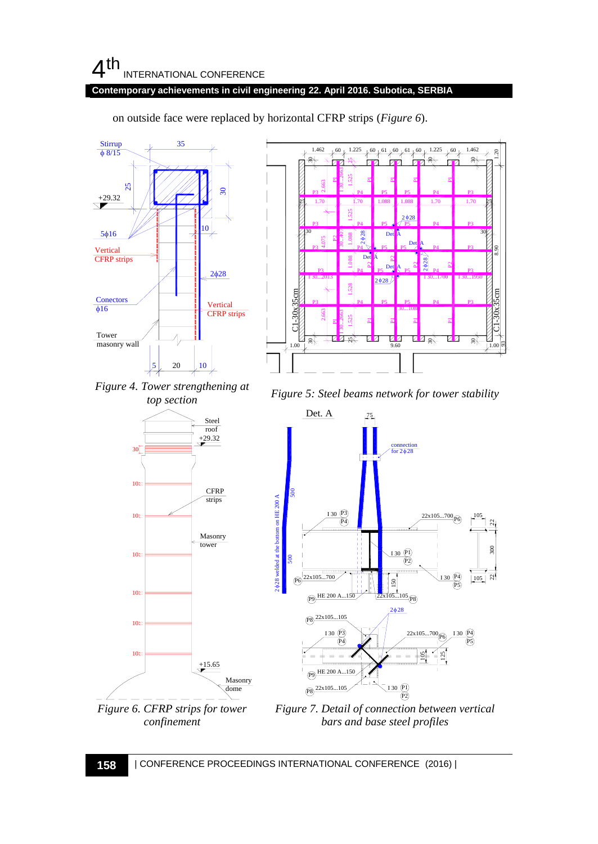

on outside face were replaced by horizontal CFRP strips (*Figure 6*).



*Figure 4. Tower strengthening at top section*



*Figure 5: Steel beams network for tower stability*



*Figure 6. CFRP strips for tower confinement*

*Figure 7. Detail of connection between vertical bars and base steel profiles*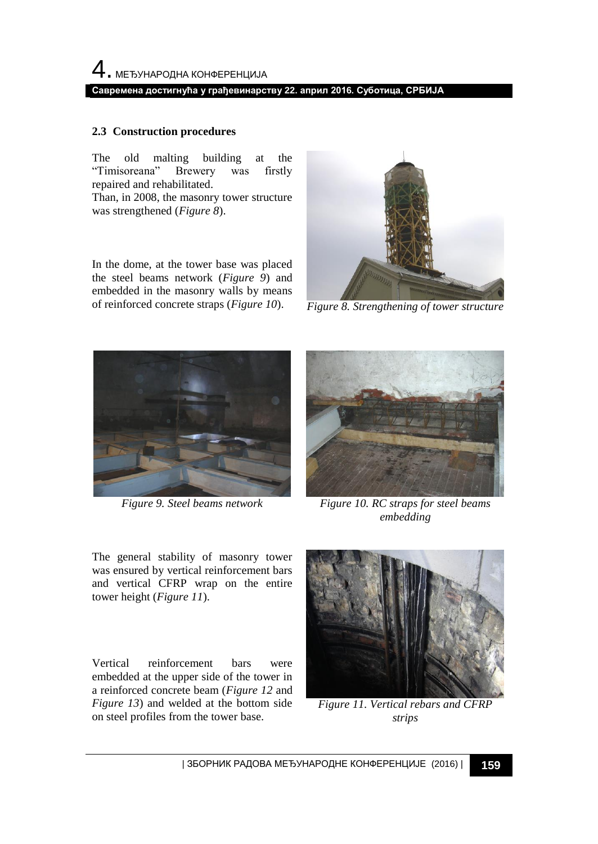#### **2.3 Construction procedures**

The old malting building at the "Timisoreana" Brewery was firstly repaired and rehabilitated.

Than, in 2008, the masonry tower structure was strengthened (*Figure 8*).

In the dome, at the tower base was placed the steel beams network (*Figure 9*) and embedded in the masonry walls by means of reinforced concrete straps (*Figure 10*). *Figure 8. Strengthening of tower structure*







*Figure 9. Steel beams network Figure 10. RC straps for steel beams embedding*

The general stability of masonry tower was ensured by vertical reinforcement bars and vertical CFRP wrap on the entire tower height (*Figure 11*).

Vertical reinforcement bars were embedded at the upper side of the tower in a reinforced concrete beam (*Figure 12* and *Figure 13*) and welded at the bottom side on steel profiles from the tower base.



*Figure 11. Vertical rebars and CFRP strips*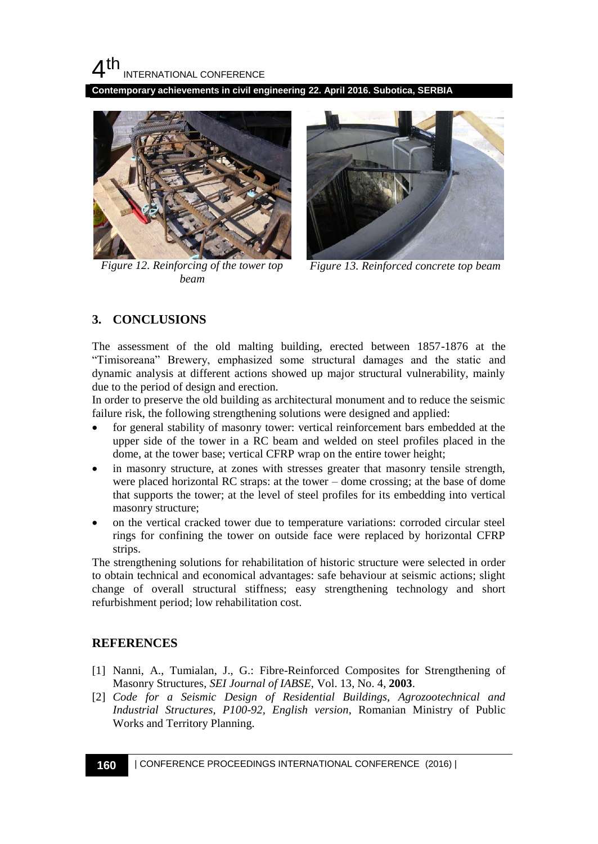**Contemporary achievements in civil engineering 22. April 2016. Subotica, SERBIA**



*Figure 12. Reinforcing of the tower top beam*



*Figure 13. Reinforced concrete top beam*

## **3. CONCLUSIONS**

The assessment of the old malting building, erected between 1857-1876 at the "Timisoreana" Brewery, emphasized some structural damages and the static and dynamic analysis at different actions showed up major structural vulnerability, mainly due to the period of design and erection.

In order to preserve the old building as architectural monument and to reduce the seismic failure risk, the following strengthening solutions were designed and applied:

- for general stability of masonry tower: vertical reinforcement bars embedded at the upper side of the tower in a RC beam and welded on steel profiles placed in the dome, at the tower base; vertical CFRP wrap on the entire tower height;
- in masonry structure, at zones with stresses greater that masonry tensile strength, were placed horizontal RC straps: at the tower – dome crossing; at the base of dome that supports the tower; at the level of steel profiles for its embedding into vertical masonry structure;
- on the vertical cracked tower due to temperature variations: corroded circular steel rings for confining the tower on outside face were replaced by horizontal CFRP strips.

The strengthening solutions for rehabilitation of historic structure were selected in order to obtain technical and economical advantages: safe behaviour at seismic actions; slight change of overall structural stiffness; easy strengthening technology and short refurbishment period; low rehabilitation cost.

# **REFERENCES**

- [1] Nanni, A., Tumialan, J., G.: Fibre-Reinforced Composites for Strengthening of Masonry Structures, *SEI Journal of IABSE,* Vol. 13, No. 4, **2003**.
- [2] *Code for a Seismic Design of Residential Buildings, Agrozootechnical and Industrial Structures, P100-92, English version*, Romanian Ministry of Public Works and Territory Planning.